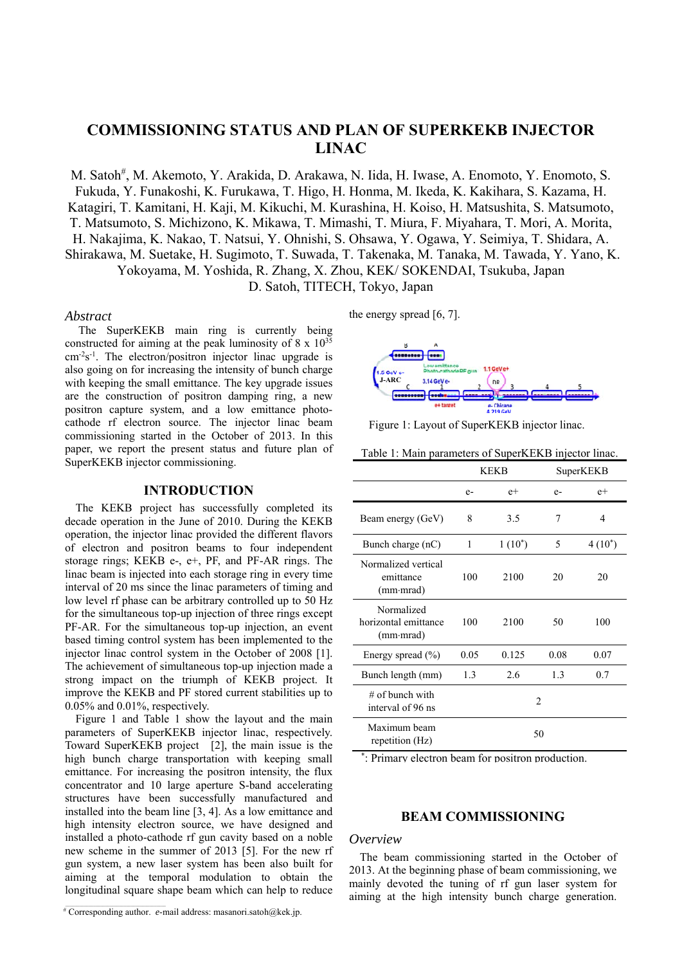# **COMMISSIONING STATUS AND PLAN OF SUPERKEKB INJECTOR LINAC**

M. Satoh<sup>#</sup>, M. Akemoto, Y. Arakida, D. Arakawa, N. Iida, H. Iwase, A. Enomoto, Y. Enomoto, S. Fukuda, Y. Funakoshi, K. Furukawa, T. Higo, H. Honma, M. Ikeda, K. Kakihara, S. Kazama, H. Katagiri, T. Kamitani, H. Kaji, M. Kikuchi, M. Kurashina, H. Koiso, H. Matsushita, S. Matsumoto, T. Matsumoto, S. Michizono, K. Mikawa, T. Mimashi, T. Miura, F. Miyahara, T. Mori, A. Morita, H. Nakajima, K. Nakao, T. Natsui, Y. Ohnishi, S. Ohsawa, Y. Ogawa, Y. Seimiya, T. Shidara, A. Shirakawa, M. Suetake, H. Sugimoto, T. Suwada, T. Takenaka, M. Tanaka, M. Tawada, Y. Yano, K. Yokoyama, M. Yoshida, R. Zhang, X. Zhou, KEK/ SOKENDAI, Tsukuba, Japan D. Satoh, TITECH, Tokyo, Japan

### *Abstract*

 The SuperKEKB main ring is currently being constructed for aiming at the peak luminosity of  $8 \times 10^{35}$  $cm<sup>-2</sup>s<sup>-1</sup>$ . The electron/positron injector linac upgrade is also going on for increasing the intensity of bunch charge with keeping the small emittance. The key upgrade issues are the construction of positron damping ring, a new positron capture system, and a low emittance photocathode rf electron source. The injector linac beam commissioning started in the October of 2013. In this paper, we report the present status and future plan of SuperKEKB injector commissioning.

## **INTRODUCTION**

The KEKB project has successfully completed its decade operation in the June of 2010. During the KEKB operation, the injector linac provided the different flavors of electron and positron beams to four independent storage rings; KEKB e-, e+, PF, and PF-AR rings. The linac beam is injected into each storage ring in every time interval of 20 ms since the linac parameters of timing and low level rf phase can be arbitrary controlled up to 50 Hz for the simultaneous top-up injection of three rings except PF-AR. For the simultaneous top-up injection, an event based timing control system has been implemented to the injector linac control system in the October of 2008 [1]. The achievement of simultaneous top-up injection made a strong impact on the triumph of KEKB project. It improve the KEKB and PF stored current stabilities up to 0.05% and 0.01%, respectively.

Figure 1 and Table 1 show the layout and the main parameters of SuperKEKB injector linac, respectively. Toward SuperKEKB project [2], the main issue is the high bunch charge transportation with keeping small emittance. For increasing the positron intensity, the flux concentrator and 10 large aperture S-band accelerating structures have been successfully manufactured and installed into the beam line [3, 4]. As a low emittance and high intensity electron source, we have designed and installed a photo-cathode rf gun cavity based on a noble new scheme in the summer of 2013 [5]. For the new rf gun system, a new laser system has been also built for aiming at the temporal modulation to obtain the longitudinal square shape beam which can help to reduce

# Corresponding author. *e*-mail address: masanori.satoh@kek.jp.

the energy spread [6, 7].



Figure 1: Layout of SuperKEKB injector linac.

Table 1: Main parameters of SuperKEKB injector linac.

|                                                         | <b>KEKB</b>    |           | SuperKEKB |           |
|---------------------------------------------------------|----------------|-----------|-----------|-----------|
|                                                         | $e-$           | $e+$      | $e-$      | $e+$      |
| Beam energy (GeV)                                       | 8              | 3.5       | 7         | 4         |
| Bunch charge (nC)                                       | 1              | $1(10^*)$ | 5         | $4(10^*)$ |
| Normalized vertical<br>emittance<br>$(mm \cdot mrad)$   | 100            | 2100      | 20        | 20        |
| Normalized<br>horizontal emittance<br>$(mm \cdot mrad)$ | 100            | 2100      | 50        | 100       |
| Energy spread $(\% )$                                   | 0.05           | 0.125     | 0.08      | 0.07      |
| Bunch length (mm)                                       | 1.3            | 2.6       | 1.3       | 0.7       |
| $#$ of bunch with<br>interval of 96 ns                  | $\mathfrak{D}$ |           |           |           |
| Maximum beam<br>repetition (Hz)                         | 50             |           |           |           |

\* : Primary electron beam for positron production.

## **BEAM COMMISSIONING**

### *Overview*

The beam commissioning started in the October of 2013. At the beginning phase of beam commissioning, we mainly devoted the tuning of rf gun laser system for aiming at the high intensity bunch charge generation.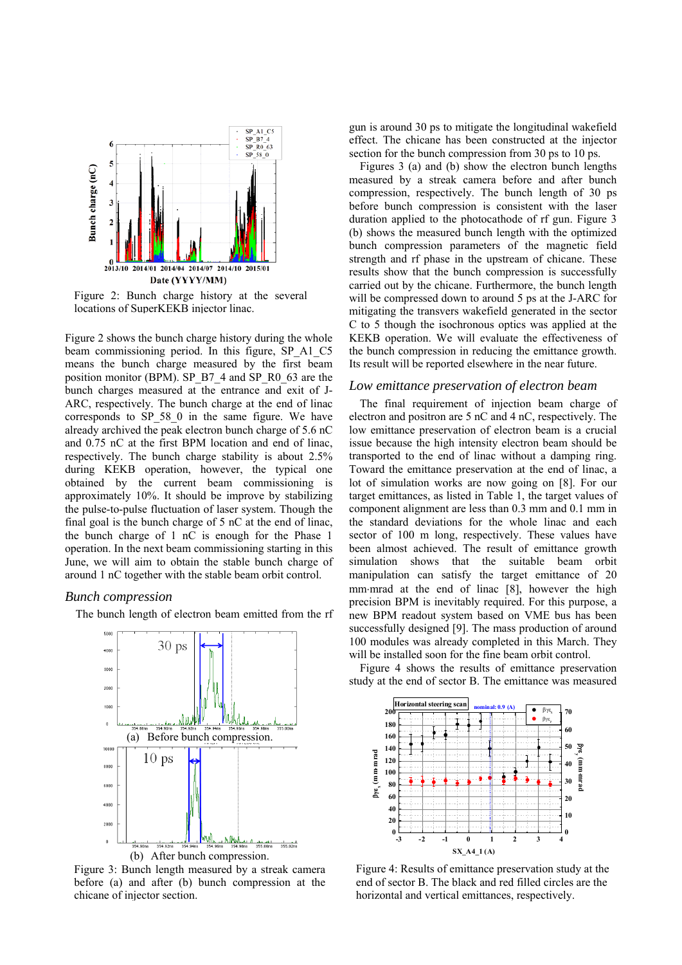

Figure 2: Bunch charge history at the several locations of SuperKEKB injector linac.

Figure 2 shows the bunch charge history during the whole beam commissioning period. In this figure, SP\_A1\_C5 means the bunch charge measured by the first beam position monitor (BPM). SP\_B7\_4 and SP\_R0\_63 are the bunch charges measured at the entrance and exit of J-ARC, respectively. The bunch charge at the end of linac corresponds to SP\_58\_0 in the same figure. We have already archived the peak electron bunch charge of 5.6 nC and 0.75 nC at the first BPM location and end of linac, respectively. The bunch charge stability is about 2.5% during KEKB operation, however, the typical one obtained by the current beam commissioning is approximately 10%. It should be improve by stabilizing the pulse-to-pulse fluctuation of laser system. Though the final goal is the bunch charge of 5 nC at the end of linac, the bunch charge of 1 nC is enough for the Phase 1 operation. In the next beam commissioning starting in this June, we will aim to obtain the stable bunch charge of around 1 nC together with the stable beam orbit control.

# *Bunch compression*

The bunch length of electron beam emitted from the rf



Figure 3: Bunch length measured by a streak camera before (a) and after (b) bunch compression at the chicane of injector section.

gun is around 30 ps to mitigate the longitudinal wakefield effect. The chicane has been constructed at the injector section for the bunch compression from 30 ps to 10 ps.

Figures 3 (a) and (b) show the electron bunch lengths measured by a streak camera before and after bunch compression, respectively. The bunch length of 30 ps before bunch compression is consistent with the laser duration applied to the photocathode of rf gun. Figure 3 (b) shows the measured bunch length with the optimized bunch compression parameters of the magnetic field strength and rf phase in the upstream of chicane. These results show that the bunch compression is successfully carried out by the chicane. Furthermore, the bunch length will be compressed down to around 5 ps at the J-ARC for mitigating the transvers wakefield generated in the sector C to 5 though the isochronous optics was applied at the KEKB operation. We will evaluate the effectiveness of the bunch compression in reducing the emittance growth. Its result will be reported elsewhere in the near future.

## *Low emittance preservation of electron beam*

The final requirement of injection beam charge of electron and positron are 5 nC and 4 nC, respectively. The low emittance preservation of electron beam is a crucial issue because the high intensity electron beam should be transported to the end of linac without a damping ring. Toward the emittance preservation at the end of linac, a lot of simulation works are now going on [8]. For our target emittances, as listed in Table 1, the target values of component alignment are less than 0.3 mm and 0.1 mm in the standard deviations for the whole linac and each sector of 100 m long, respectively. These values have been almost achieved. The result of emittance growth simulation shows that the suitable beam orbit manipulation can satisfy the target emittance of 20 mm·mrad at the end of linac [8], however the high precision BPM is inevitably required. For this purpose, a new BPM readout system based on VME bus has been successfully designed [9]. The mass production of around 100 modules was already completed in this March. They will be installed soon for the fine beam orbit control.

Figure 4 shows the results of emittance preservation study at the end of sector B. The emittance was measured



Figure 4: Results of emittance preservation study at the end of sector B. The black and red filled circles are the horizontal and vertical emittances, respectively.